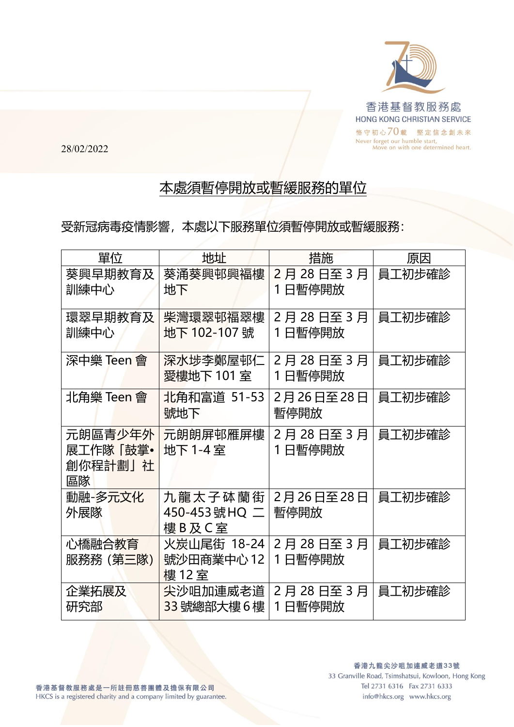

28/02/2022

## 本處須暫停開放或暫緩服務的單位

受新冠病毒疫情影響,本處以下服務單位須暫停開放或暫緩服務:

| 單位                                   | 地址                                 | 措施                 | 原因     |
|--------------------------------------|------------------------------------|--------------------|--------|
| 葵興早期教育及<br>訓練中心                      | 葵涌葵興邨興褔樓<br>地下                     | 2月28日至3月<br>1日暫停開放 | 員工初步確診 |
| 環翠早期教育及<br>訓練中心                      | 柴灣環翠邨福翠樓<br>地下 102-107 號           | 2月28日至3月<br>1日暫停開放 | 員工初步確診 |
| 深中樂 Teen 會                           | 深水埗李鄭屋邨仁<br>愛樓地下 101 室             | 2月28日至3月<br>1日暫停開放 | 員工初步確診 |
| 北角樂 Teen 會                           | 北角和富道 51-53<br>號地下                 | 2月26日至28日<br>暫停開放  | 員工初步確診 |
| 元朗區青少年外<br>展工作隊「鼓掌•<br>創你程計劃」社<br>區隊 | 元朗朗屏邨雁屏樓<br>地下 1-4室                | 2月28日至3月<br>1日暫停開放 | 員工初步確診 |
| 動融-多元文化<br>外展隊                       | 九龍太子砵蘭街<br>450-453號HQ 二<br>樓B及C室   | 2月26日至28日<br>暫停開放  | 員工初步確診 |
| 心橋融合教育<br>服務務(第三隊)                   | 火炭山尾街 18-24<br>號沙田商業中心 12<br>樓 12室 | 2月28日至3月<br>1日暫停開放 | 員工初步確診 |
| 企業拓展及<br>研究部                         | 尖沙咀加連威老道<br>33號總部大樓6樓              | 2月28日至3月<br>1日暫停開放 | 員工初步確診 |

info@hkcs.org www.hkcs.org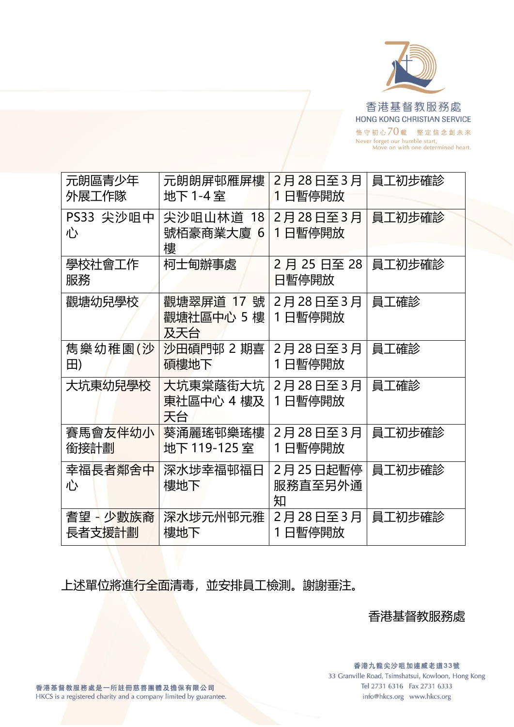

| 元朗區青少年<br>外展工作隊     | 元朗朗屏邨雁屏樓<br>地下 1-4 室                       | 2月28日至3月<br>1日暫停開放         | 員工初步確診 |  |
|---------------------|--------------------------------------------|----------------------------|--------|--|
| PS33 尖沙咀中<br>心      | 尖沙咀山林道 18<br>號栢豪商業大廈 6<br>樓                | 2月28日至3月<br>1日暫停開放         | 員工初步確診 |  |
| 學校社會工作<br>服務        | 柯士甸辦事處                                     | 2月25日至28<br>日暫停開放          | 員工初步確診 |  |
| 觀塘幼兒學校              | 觀塘翠屏道 17 號 <br>觀塘社區中心 5 樓   1 日暫停開放<br>及天台 | 2月28日至3月                   | 員工確診   |  |
| 雋樂幼稚園(沙<br>田)       | 沙田碩門邨 2 期喜<br>碩樓地下                         | 2月28日至3月<br>1日暫停開放         | 員工確診   |  |
| 大坑東幼兒學校             | 大坑東棠蔭街大坑<br>東社區中心 4 樓及<br>天台               | 2月28日至3月<br>1日暫停開放         | 員工確診   |  |
| 賽馬會友伴幼小<br>銜接計劃     | 葵涌麗瑤邨樂瑤樓<br>地下 119-125室                    | 2月28日至3月<br>1日暫停開放         | 員工初步確診 |  |
| 幸福長者鄰舍中<br>心        | 深水埗幸福邨福日<br>樓地下                            | 2月 25 日起暫停<br>服務直至另外通<br>知 | 員工初步確診 |  |
| 耆望 - 少數族裔<br>長者支援計劃 | 深水埗元州邨元雅<br>樓地下                            | 2月28日至3月<br>1日暫停開放         | 員工初步確診 |  |

上述單位將進行全面清毒,並安排員工檢測。謝謝垂注。

香港基督教服務處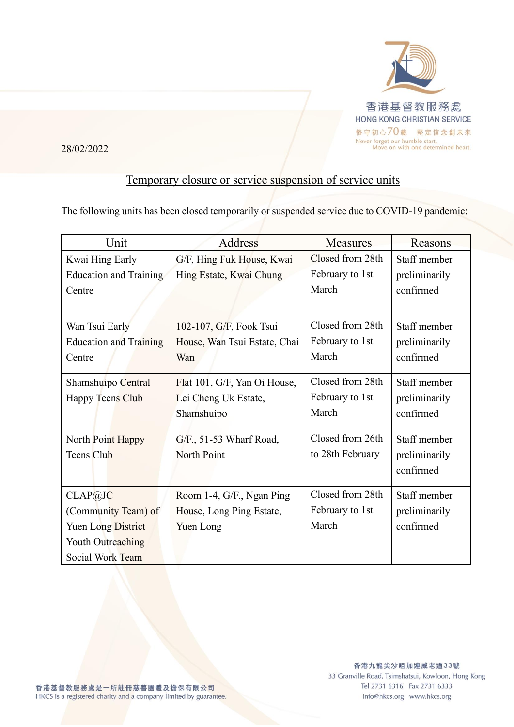

28/02/2022

## Temporary closure or service suspension of service units

The following units has been closed temporarily or suspended service due to COVID-19 pandemic:

| Unit                          | <b>Address</b>               | <b>Measures</b>  | Reasons       |
|-------------------------------|------------------------------|------------------|---------------|
| Kwai Hing Early               | G/F, Hing Fuk House, Kwai    | Closed from 28th | Staff member  |
| <b>Education and Training</b> | Hing Estate, Kwai Chung      | February to 1st  | preliminarily |
| Centre                        |                              | March            | confirmed     |
|                               |                              |                  |               |
| Wan Tsui Early                | 102-107, G/F, Fook Tsui      | Closed from 28th | Staff member  |
| <b>Education and Training</b> | House, Wan Tsui Estate, Chai | February to 1st  | preliminarily |
| Centre                        | Wan                          | March            | confirmed     |
|                               |                              |                  |               |
| Shamshuipo Central            | Flat 101, G/F, Yan Oi House, | Closed from 28th | Staff member  |
| <b>Happy Teens Club</b>       | Lei Cheng Uk Estate,         | February to 1st  | preliminarily |
|                               | Shamshuipo                   | March            | confirmed     |
|                               |                              |                  |               |
| North Point Happy             | G/F., 51-53 Wharf Road,      | Closed from 26th | Staff member  |
| <b>Teens Club</b>             | North Point                  | to 28th February | preliminarily |
|                               |                              |                  | confirmed     |
|                               |                              |                  |               |
| CLAP@JC                       | Room 1-4, G/F., Ngan Ping    | Closed from 28th | Staff member  |
| (Community Team) of           | House, Long Ping Estate,     | February to 1st  | preliminarily |
| <b>Yuen Long District</b>     | Yuen Long                    | March            | confirmed     |
| Youth Outreaching             |                              |                  |               |
| Social Work Team              |                              |                  |               |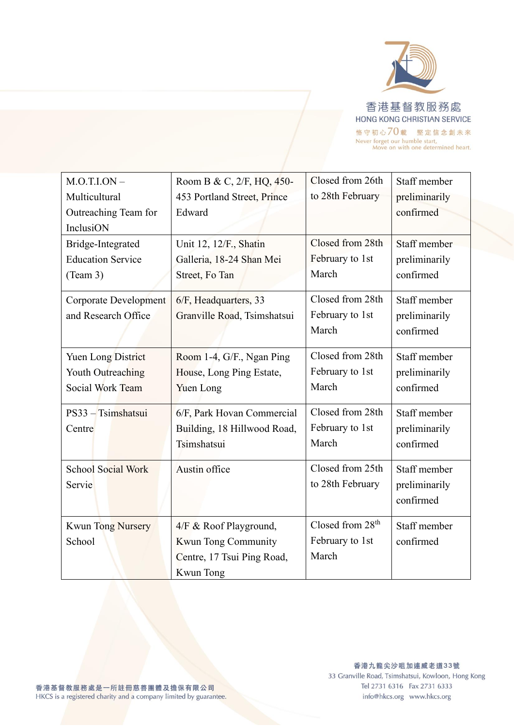

| $M.O.T.I. ON -$              | Room B & C, 2/F, HQ, 450-   | Closed from 26th             | Staff member  |
|------------------------------|-----------------------------|------------------------------|---------------|
| Multicultural                | 453 Portland Street, Prince | to 28th February             | preliminarily |
| Outreaching Team for         | Edward                      |                              | confirmed     |
| InclusiON                    |                             |                              |               |
| Bridge-Integrated            | Unit 12, 12/F., Shatin      | Closed from 28th             | Staff member  |
| <b>Education Service</b>     | Galleria, 18-24 Shan Mei    | February to 1st              | preliminarily |
| (Team 3)                     | Street, Fo Tan              | March                        | confirmed     |
| <b>Corporate Development</b> | 6/F, Headquarters, 33       | Closed from 28th             | Staff member  |
| and Research Office          | Granville Road, Tsimshatsui | February to 1st              | preliminarily |
|                              |                             | March                        | confirmed     |
| Yuen Long District           | Room 1-4, G/F., Ngan Ping   | Closed from 28th             | Staff member  |
| Youth Outreaching            | House, Long Ping Estate,    | February to 1st              | preliminarily |
| Social Work Team             | <b>Yuen Long</b>            | March                        | confirmed     |
| PS33 - Tsimshatsui           | 6/F, Park Hovan Commercial  | Closed from 28th             | Staff member  |
| Centre                       | Building, 18 Hillwood Road, | February to 1st              | preliminarily |
|                              | Tsimshatsui                 | March                        | confirmed     |
| School Social Work           | Austin office               | Closed from 25th             | Staff member  |
| Servie                       |                             | to 28th February             | preliminarily |
|                              |                             |                              | confirmed     |
| <b>Kwun Tong Nursery</b>     | 4/F & Roof Playground,      | Closed from 28 <sup>th</sup> | Staff member  |
| School                       | Kwun Tong Community         | February to 1st              | confirmed     |
|                              | Centre, 17 Tsui Ping Road,  | March                        |               |
|                              | <b>Kwun</b> Tong            |                              |               |